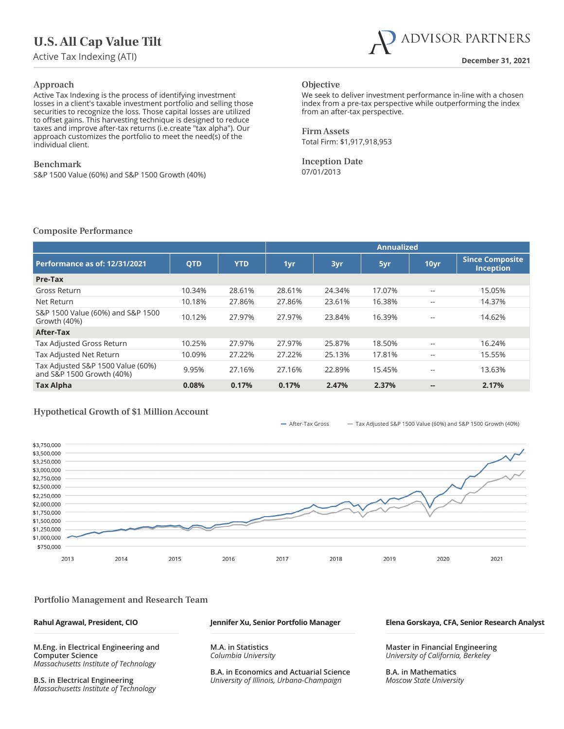# **U.S. All Cap Value Tilt**



#### Approach

Active Tax Indexing is the process of identifying investment losses in a client's taxable investment portfolio and selling those securities to recognize the loss. Those capital losses are utilized to offset gains. This harvesting technique is designed to reduce taxes and improve after-tax returns (i.e.create "tax alpha"). Our approach customizes the portfolio to meet the need(s) of the individual client.

#### Benchmark

S&P 1500 Value (60%) and S&P 1500 Growth (40%)

### **Objective**

We seek to deliver investment performance in-line with a chosen index from a pre-tax perspective while outperforming the index from an after-tax perspective.

Firm Assets Total Firm: \$1,917,918,953

Inception Date 07/01/2013

#### Composite Performance

|                                                                |            |            | <b>Annualized</b> |        |        |       |                                            |
|----------------------------------------------------------------|------------|------------|-------------------|--------|--------|-------|--------------------------------------------|
| <b>Performance as of: 12/31/2021</b>                           | <b>QTD</b> | <b>YTD</b> | 1yr               | 3yr    | 5yr    | 10yr  | <b>Since Composite</b><br><b>Inception</b> |
| Pre-Tax                                                        |            |            |                   |        |        |       |                                            |
| Gross Return                                                   | 10.34%     | 28.61%     | 28.61%            | 24.34% | 17.07% | --    | 15.05%                                     |
| Net Return                                                     | 10.18%     | 27.86%     | 27.86%            | 23.61% | 16.38% | $- -$ | 14.37%                                     |
| S&P 1500 Value (60%) and S&P 1500<br>Growth (40%)              | 10.12%     | 27.97%     | 27.97%            | 23.84% | 16.39% | $- -$ | 14.62%                                     |
| After-Tax                                                      |            |            |                   |        |        |       |                                            |
| Tax Adjusted Gross Return                                      | 10.25%     | 27.97%     | 27.97%            | 25.87% | 18.50% | $- -$ | 16.24%                                     |
| Tax Adjusted Net Return                                        | 10.09%     | 27.22%     | 27.22%            | 25.13% | 17.81% | $- -$ | 15.55%                                     |
| Tax Adjusted S&P 1500 Value (60%)<br>and S&P 1500 Growth (40%) | 9.95%      | 27.16%     | 27.16%            | 22.89% | 15.45% | --    | 13.63%                                     |
| <b>Tax Alpha</b>                                               | 0.08%      | 0.17%      | 0.17%             | 2.47%  | 2.37%  | $- -$ | 2.17%                                      |

### Hypothetical Growth of \$1 Million Account

- After-Tax Gross - Tax Adjusted S&P 1500 Value (60%) and S&P 1500 Growth (40%)



#### Portfolio Management and Research Team

**Rahul Agrawal, President, CIO**

**M.Eng. in Electrical Engineering and Computer Science**  *Massachusetts Institute of Technology*

**B.S. in Electrical Engineering**  *Massachusetts Institute of Technology*

#### **Jennifer Xu, Senior Portfolio Manager**

**M.A. in Statistics** *Columbia University*

**B.A. in Economics and Actuarial Science** *University of Illinois, Urbana-Champaign*

#### **Elena Gorskaya, CFA, Senior Research Analyst**

**Master in Financial Engineering**  *University of California, Berkeley*

**B.A. in Mathematics** *Moscow State University*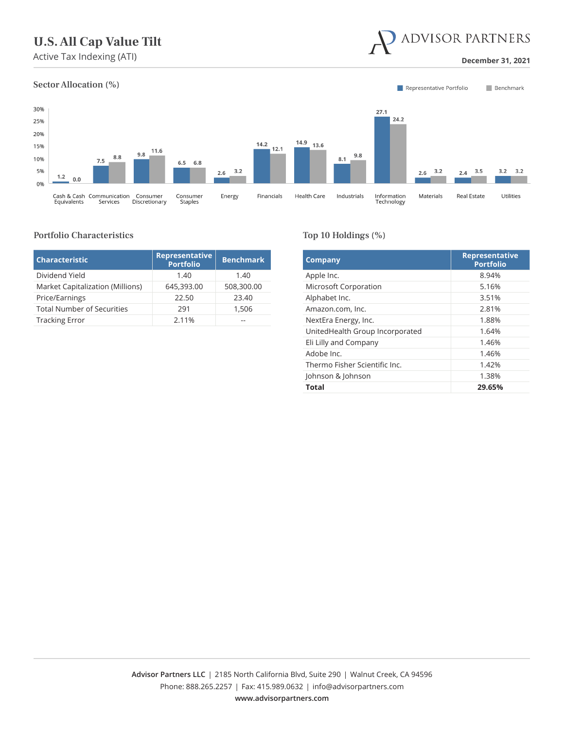# **U.S. All Cap Value Tilt**

**December 31, 2021 December 31, 2021** 



#### Portfolio Characteristics

| <b>Characteristic</b>             | <b>Representative</b><br><b>Portfolio</b> | <b>Benchmark</b> |
|-----------------------------------|-------------------------------------------|------------------|
| Dividend Yield                    | 1.40                                      | 1.40             |
| Market Capitalization (Millions)  | 645,393.00                                | 508,300.00       |
| Price/Earnings                    | 22.50                                     | 23.40            |
| <b>Total Number of Securities</b> | 291                                       | 1,506            |
| <b>Tracking Error</b>             | 2.11%                                     |                  |

#### Top 10 Holdings (%)

| <b>Company</b>                  | <b>Representative</b><br><b>Portfolio</b> |
|---------------------------------|-------------------------------------------|
| Apple Inc.                      | 8.94%                                     |
| Microsoft Corporation           | 5.16%                                     |
| Alphabet Inc.                   | 3.51%                                     |
| Amazon.com, Inc.                | 2.81%                                     |
| NextEra Energy, Inc.            | 1.88%                                     |
| UnitedHealth Group Incorporated | 1.64%                                     |
| Eli Lilly and Company           | 1.46%                                     |
| Adobe Inc.                      | 1.46%                                     |
| Thermo Fisher Scientific Inc.   | 1.42%                                     |
| Johnson & Johnson               | 1.38%                                     |
| Total                           | 29.65%                                    |